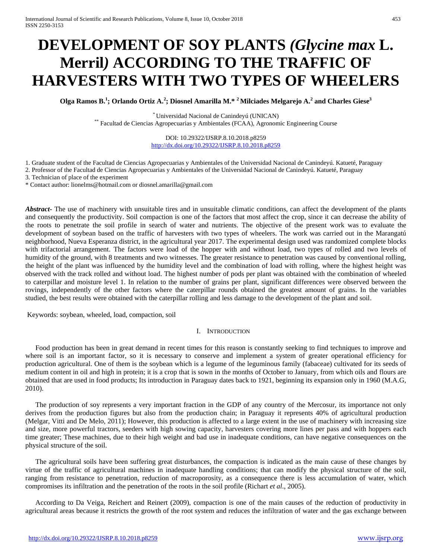# **DEVELOPMENT OF SOY PLANTS** *(Glycine max* **L. Merril***)* **ACCORDING TO THE TRAFFIC OF HARVESTERS WITH TWO TYPES OF WHEELERS**

**Olga Ramos B.<sup>1</sup> ; Orlando Ortiz A.<sup>2</sup> ; Diosnel Amarilla M.\* <sup>2</sup> Milciades Melgarejo A.<sup>2</sup> and Charles Giese3**

\* Universidad Nacional de Canindeyú (UNICAN) \*\* Facultad de Ciencias Agropecuarias y Ambientales (FCAA), Agronomic Engineering Course

DOI: 10.29322/IJSRP.8.10.2018.p8259 <http://dx.doi.org/10.29322/IJSRP.8.10.2018.p8259>

1. Graduate student of the Facultad de Ciencias Agropecuarias y Ambientales of the Universidad Nacional de Canindeyú. Katueté, Paraguay

2. Professor of the Facultad de Ciencias Agropecuarias y Ambientales of the Universidad Nacional de Canindeyú. Katueté, Paraguay

3. Technician of place of the experiment

\* Contact author: lionelms@hotmail.com or diosnel.amarilla@gmail.com

*Abstract* The use of machinery with unsuitable tires and in unsuitable climatic conditions, can affect the development of the plants and consequently the productivity. Soil compaction is one of the factors that most affect the crop, since it can decrease the ability of the roots to penetrate the soil profile in search of water and nutrients. The objective of the present work was to evaluate the development of soybean based on the traffic of harvesters with two types of wheelers. The work was carried out in the Marangatú neighborhood, Nueva Esperanza district, in the agricultural year 2017. The experimental design used was randomized complete blocks with trifactorial arrangement. The factors were load of the hopper with and without load, two types of rolled and two levels of humidity of the ground, with 8 treatments and two witnesses. The greater resistance to penetration was caused by conventional rolling, the height of the plant was influenced by the humidity level and the combination of load with rolling, where the highest height was observed with the track rolled and without load. The highest number of pods per plant was obtained with the combination of wheeled to caterpillar and moisture level 1. In relation to the number of grains per plant, significant differences were observed between the rovings, independently of the other factors where the caterpillar rounds obtained the greatest amount of grains. In the variables studied, the best results were obtained with the caterpillar rolling and less damage to the development of the plant and soil.

Keywords: soybean, wheeled, load, compaction, soil

#### I. INTRODUCTION

Food production has been in great demand in recent times for this reason is constantly seeking to find techniques to improve and where soil is an important factor, so it is necessary to conserve and implement a system of greater operational efficiency for production agricultural. One of them is the soybean which is a legume of the leguminous family (fabaceae) cultivated for its seeds of medium content in oil and high in protein; it is a crop that is sown in the months of October to January, from which oils and flours are obtained that are used in food products; Its introduction in Paraguay dates back to 1921, beginning its expansion only in 1960 (M.A.G, 2010).

The production of soy represents a very important fraction in the GDP of any country of the Mercosur, its importance not only derives from the production figures but also from the production chain; in Paraguay it represents 40% of agricultural production (Melgar, Vitti and De Melo, 2011); However, this production is affected to a large extent in the use of machinery with increasing size and size, more powerful tractors, seeders with high sowing capacity, harvesters covering more lines per pass and with hoppers each time greater; These machines, due to their high weight and bad use in inadequate conditions, can have negative consequences on the physical structure of the soil.

The agricultural soils have been suffering great disturbances, the compaction is indicated as the main cause of these changes by virtue of the traffic of agricultural machines in inadequate handling conditions; that can modify the physical structure of the soil, ranging from resistance to penetration, reduction of macroporosity, as a consequence there is less accumulation of water, which compromises its infiltration and the penetration of the roots in the soil profile (Richart *et al*., 2005).

According to Da Veiga, Reichert and Reinert (2009), compaction is one of the main causes of the reduction of productivity in agricultural areas because it restricts the growth of the root system and reduces the infiltration of water and the gas exchange between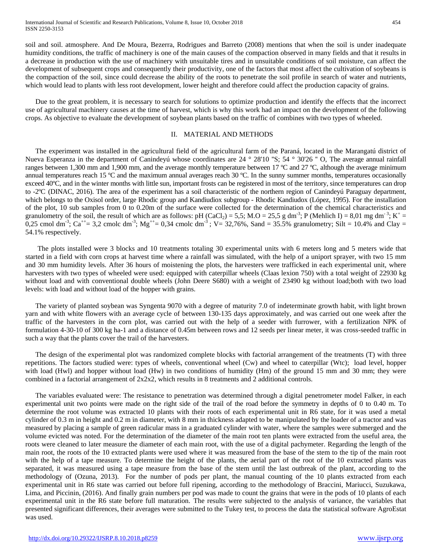soil and soil. atmosphere. And De Moura, Bezerra, Rodrigues and Barreto (2008) mentions that when the soil is under inadequate humidity conditions, the traffic of machinery is one of the main causes of the compaction observed in many fields and that it results in a decrease in production with the use of machinery with unsuitable tires and in unsuitable conditions of soil moisture, can affect the development of subsequent crops and consequently their productivity, one of the factors that most affect the cultivation of soybeans is the compaction of the soil, since could decrease the ability of the roots to penetrate the soil profile in search of water and nutrients, which would lead to plants with less root development, lower height and therefore could affect the production capacity of grains.

Due to the great problem, it is necessary to search for solutions to optimize production and identify the effects that the incorrect use of agricultural machinery causes at the time of harvest, which is why this work had an impact on the development of the following crops. As objective to evaluate the development of soybean plants based on the traffic of combines with two types of wheeled.

## II. MATERIAL AND METHODS

The experiment was installed in the agricultural field of the agricultural farm of the Paraná, located in the Marangatú district of Nueva Esperanza in the department of Canindeyú whose coordinates are 24 ° 28'10 "S; 54 ° 30'26 " O, The average annual rainfall ranges between 1,300 mm and 1,900 mm, and the average monthly temperature between 17 °C and 27 °C, although the average minimum annual temperatures reach 15  $^{\circ}$ C and the maximum annual averages reach 30  $^{\circ}$ C. In the sunny summer months, temperatures occasionally exceed 40ºC, and in the winter months with little sun, important frosts can be registered in most of the territory, since temperatures can drop to -2ºC (DINAC, 2016). The area of the experiment has a soil characteristic of the northern region of Canindeyú Paraguay department, which belongs to the Oxisol order, large Rhodic group and Kandiudiox subgroup - Rhodic Kandiudox (López, 1995). For the installation of the plot, 10 sub samples from 0 to 0.20m of the surface were collected for the determination of the chemical characteristics and granulometry of the soil, the result of which are as follows: pH (CaCl<sub>2</sub>) = 5,5; M.O = 25,5 g dm<sup>-3</sup>; P (Mehlich I) = 8,01 mg dm<sup>-3</sup>; K<sup>+</sup> = 0,25 cmol dm<sup>-3</sup>; Ca<sup>++</sup>= 3,2 cmolc dm<sup>-3</sup>; Mg<sup>++</sup>= 0,34 cmolc dm<sup>-3</sup>; V= 32,76%, Sand = 35.5% granulometry; Silt = 10.4% and Clay = 54.1% respectively.

The plots installed were 3 blocks and 10 treatments totaling 30 experimental units with 6 meters long and 5 meters wide that started in a field with corn crops at harvest time where a rainfall was simulated, with the help of a uniport sprayer, with two 15 mm and 30 mm humidity levels. After 36 hours of moistening the plots, the harvesters were trafficked in each experimental unit, where harvesters with two types of wheeled were used: equipped with caterpillar wheels (Claas lexion 750) with a total weight of 22930 kg without load and with conventional double wheels (John Deere S680) with a weight of 23490 kg without load;both with two load levels: with load and without load of the hopper with grains.

The variety of planted soybean was Syngenta 9070 with a degree of maturity 7.0 of indeterminate growth habit, with light brown yarn and with white flowers with an average cycle of between 130-135 days approximately, and was carried out one week after the traffic of the harvesters in the corn plot, was carried out with the help of a seeder with furrower, with a fertilization NPK of formulation 4-30-10 of 300 kg ha-1 and a distance of 0.45m between rows and 12 seeds per linear meter, it was cross-seeded traffic in such a way that the plants cover the trail of the harvesters.

The design of the experimental plot was randomized complete blocks with factorial arrangement of the treatments (T) with three repetitions. The factors studied were: types of wheels, conventional wheel (Cw) and wheel to caterpillar (Wtc); load level, hopper with load (Hwl) and hopper without load (Hw) in two conditions of humidity (Hm) of the ground 15 mm and 30 mm; they were combined in a factorial arrangement of  $2x2x2$ , which results in 8 treatments and 2 additional controls.

The variables evaluated were: The resistance to penetration was determined through a digital penetrometer model Falker, in each experimental unit two points were made on the right side of the trail of the road before the symmetry in depths of 0 to 0.40 m. To determine the root volume was extracted 10 plants with their roots of each experimental unit in R6 state, for it was used a metal cylinder of 0.3 m in height and 0.2 m in diameter, with 8 mm in thickness adapted to be manipulated by the loader of a tractor and was measured by placing a sample of green radicular mass in a graduated cylinder with water, where the samples were submerged and the volume evicted was noted. For the determination of the diameter of the main root ten plants were extracted from the useful area, the roots were cleaned to later measure the diameter of each main root, with the use of a digital pachymeter. Regarding the length of the main root, the roots of the 10 extracted plants were used where it was measured from the base of the stem to the tip of the main root with the help of a tape measure. To determine the height of the plants, the aerial part of the root of the 10 extracted plants was separated, it was measured using a tape measure from the base of the stem until the last outbreak of the plant, according to the methodology of (Ozuna, 2013). For the number of pods per plant, the manual counting of the 10 plants extracted from each experimental unit in R6 state was carried out before full ripening, according to the methodology of Braccini, Mariucci, Suzukawa, Lima, and Piccinin, (2016). And finally grain numbers per pod was made to count the grains that were in the pods of 10 plants of each experimental unit in the R6 state before full maturation. The results were subjected to the analysis of variance, the variables that presented significant differences, their averages were submitted to the Tukey test, to process the data the statistical software AgroEstat was used.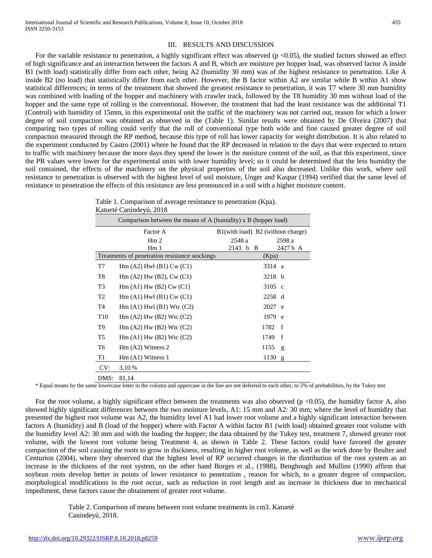For the variable resistance to penetration, a highly significant effect was observed  $(p < 0.05)$ , the studied factors showed an effect of high significance and an interaction between the factors A and B, which are moisture per hopper load, was observed factor A inside B1 (with load) statistically differ from each other, being A2 (humidity 30 mm) was of the highest resistance to penetration. Like A inside B2 (no load) that statistically differ from each other. However, the B factor within A2 are similar while B within A1 show statistical differences; in terms of the treatment that showed the greatest resistance to penetration, it was T7 where 30 mm humidity was combined with loading of the hopper and machinery with crawler track, followed by the T8 humidity 30 mm without load of the hopper and the same type of rolling is the conventional. However, the treatment that had the least resistance was the additional T1 (Control) with humidity of 15mm, in this experimental unit the traffic of the machinery was not carried out, reason for which a lower degree of soil compaction was obtained as observed in the (Table 1). Similar results were obtained by De Olveira (2007) that comparing two types of rolling could verify that the roll of conventional type both wide and fine caused greater degree of soil compaction measured through the RP method, because this type of roll has lower capacity for weight distribution. It is also related to the experiment conducted by Castro (2001) where he found that the RP decreased in relation to the days that were expected to return to traffic with machinery because the more days they spend the lower is the moisture content of the soil, as that this experiment, since the PR values were lower for the experimental units with lower humidity level; so it could be determined that the less humidity the soil contained, the effects of the machinery on the physical properties of the soil also decreased. Unlike this work, where soil resistance to penetration is observed with the highest level of soil moisture, Unger and Kaspar (1994) verified that the same level of resistance to penetration the effects of this resistance are less pronounced in a soil with a higher moisture content.

| Table 1. Comparison of average resistance to penetration (Kpa). |
|-----------------------------------------------------------------|
| Katueté Canindeyú, 2018                                         |

|                 | Comparison between the means of A (humidity) x B (hopper load)   |                                   |                      |
|-----------------|------------------------------------------------------------------|-----------------------------------|----------------------|
|                 | Factor A                                                         | B1(with load) B2 (without charge) |                      |
|                 | Hm <sub>2</sub>                                                  | 2548 a                            | 2598 a               |
|                 | Hm <sub>1</sub>                                                  | 2143<br>b B                       | 2427 b A             |
|                 | Treatments of penetration resistance stockings                   |                                   | (Kpa)                |
| T7              | $\text{Hm}$ (A2) $\text{Hwl}$ (B1) $\text{Cw}$ (C1)              |                                   | 3314 a               |
| T8              | $\text{Hm}$ (A2) $\text{Hw}$ (B2), $\text{Cw}$ (C1)              |                                   | 3218 b               |
| T <sub>3</sub>  | $\text{Hm}(\text{A1}) \text{Hw}(\text{B2}) \text{Cw}(\text{C1})$ |                                   | $3105$ c             |
| T <sub>2</sub>  | $\text{Hm}(\text{A1})$ Hwl $(\text{B1})$ Cw $(\text{C1})$        |                                   | 2258 d               |
| T4              | $\text{Hm}$ (A1) $\text{Hwl}$ (B1) Wtc (C2)                      |                                   | 2027 e               |
| T <sub>10</sub> | $\text{Hm}$ (A2) $\text{Hw}$ (B2) Wtc (C2)                       |                                   | 1979 e               |
| T9              | $\text{Hm}$ (A2) $\text{Hw}$ (B2) Wtc (C2)                       | 1782                              | f                    |
| T <sub>5</sub>  | $\text{Hm}$ (A1) $\text{Hw}$ (B2) Wtc (C2)                       | 1749                              | $\mathbf f$          |
| T6              | $\text{Hm}$ (A2) Witness 2                                       | 1155                              | $\mathbf{g}$         |
| T1              | $Hm (A1)$ Witness 1                                              |                                   | 1130<br>$\mathbf{g}$ |
| CV:             | 3,10 %                                                           |                                   |                      |
| DMS:            | 81,14                                                            |                                   |                      |

\* Equal means by the same lowercase letter in the column and uppercase in the line are not deferred to each other, to 5% of probabilities, by the Tukey test

For the root volume, a highly significant effect between the treatments was also observed (p <0.05), the humidity factor A, also showed highly significant differences between the two moisture levels, A1: 15 mm and A2: 30 mm; where the level of humidity that presented the highest root volume was A2, the humidity level A1 had lower root volume and a highly significant interaction between factors A (humidity) and B (load of the hopper) where with Factor A within factor B1 (with load) obtained greater root volume with the humidity level A2: 30 mm and with the loading the hopper; the data obtained by the Tukey test, treatment 7, showed greater root volume, with the lowest root volume being Treatment 4, as shown in Table 2. These factors could have favored the greater compaction of the soil causing the roots to grow in thickness, resulting in higher root volume, as well as the work done by Beulter and Centurion (2004), where they observed that the highest level of RP occurred changes in the distribution of the root system as an increase in the thickness of the root system, on the other hand Borges et al., (1988), Benghough and Mullins (1990) affirm that soybean roots develop better in points of lower resistance to penetration , reason for which, to a greater degree of compaction, morphological modifications in the root occur, such as reduction in root length and an increase in thickness due to mechanical impediment, these factors cause the obtainment of greater root volume.

> Table 2. Comparison of means between root volume treatments in cm3. Katueté Canindeyú, 2018.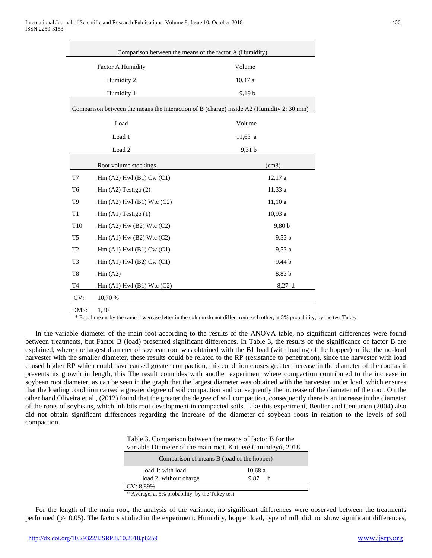|                | Comparison between the means of the factor A (Humidity)    |                                                                                          |
|----------------|------------------------------------------------------------|------------------------------------------------------------------------------------------|
|                | Factor A Humidity                                          | Volume                                                                                   |
|                | Humidity 2                                                 | 10,47a                                                                                   |
| Humidity 1     |                                                            | 9,19b                                                                                    |
|                |                                                            | Comparison between the means the interaction of B (charge) inside A2 (Humidity 2: 30 mm) |
|                | Load                                                       | Volume                                                                                   |
|                | Load 1                                                     | $11,63$ a                                                                                |
|                | Load <sub>2</sub>                                          | 9,31 b                                                                                   |
|                | Root volume stockings                                      | (cm3)                                                                                    |
| T7             | $\text{Hm}$ (A2) $\text{Hwl}$ (B1) $\text{Cw}$ (C1)        | 12,17a                                                                                   |
| T <sub>6</sub> | $\text{Hm}$ (A2) Testigo (2)                               | 11,33 a                                                                                  |
| T <sub>9</sub> | Hm(A2) Hwl(B1) Wtc(C2)                                     | 11,10a                                                                                   |
| T <sub>1</sub> | $\text{Hm}(\text{A1})$ Testigo (1)                         | 10,93a                                                                                   |
| T10            | Hm(A2) Hw(B2) Wtc(C2)                                      | 9,80 b                                                                                   |
| T <sub>5</sub> | $Hm$ (A1) $Hw$ (B2) Wtc (C2)                               | 9,53 b                                                                                   |
| T <sub>2</sub> | $Hm$ (A1) Hwl (B1) Cw (C1)                                 | 9,53 b                                                                                   |
| T <sub>3</sub> | $\text{Hm}$ (A1) $\text{Hwl}$ (B2) $\text{Cw}$ (C1)        | 9,44 b                                                                                   |
| T8             | Hm(A2)                                                     | 8,83 b                                                                                   |
| T4             | $\text{Hm}(\text{A1})$ Hwl $(\text{B1})$ Wtc $(\text{C2})$ | $8,27$ d                                                                                 |
| CV:            | 10,70 %                                                    |                                                                                          |
| DMS:           | 1,30                                                       |                                                                                          |

\* Equal means by the same lowercase letter in the column do not differ from each other, at 5% probability, by the test Tukey

In the variable diameter of the main root according to the results of the ANOVA table, no significant differences were found between treatments, but Factor B (load) presented significant differences. In Table 3, the results of the significance of factor B are explained, where the largest diameter of soybean root was obtained with the B1 load (with loading of the hopper) unlike the no-load harvester with the smaller diameter, these results could be related to the RP (resistance to penetration), since the harvester with load caused higher RP which could have caused greater compaction, this condition causes greater increase in the diameter of the root as it prevents its growth in length, this The result coincides with another experiment where compaction contributed to the increase in soybean root diameter, as can be seen in the graph that the largest diameter was obtained with the harvester under load, which ensures that the loading condition caused a greater degree of soil compaction and consequently the increase of the diameter of the root. On the other hand Oliveira et al., (2012) found that the greater the degree of soil compaction, consequently there is an increase in the diameter of the roots of soybeans, which inhibits root development in compacted soils. Like this experiment, Beulter and Centurion (2004) also did not obtain significant differences regarding the increase of the diameter of soybean roots in relation to the levels of soil compaction.

Table 3. Comparison between the means of factor B for the variable Diameter of the main root. Katueté Canindeyú, 2018

| Comparison of means B (load of the hopper) |           |
|--------------------------------------------|-----------|
| load 1: with load                          | 10,68a    |
| load 2: without charge                     | 9.87<br>h |
| $CV: 8,89\%$                               |           |

\* Average, at 5% probability, by the Tukey test

For the length of the main root, the analysis of the variance, no significant differences were observed between the treatments performed (p> 0.05). The factors studied in the experiment: Humidity, hopper load, type of roll, did not show significant differences,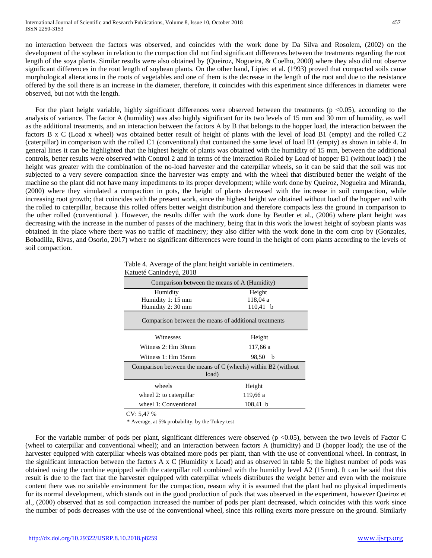no interaction between the factors was observed, and coincides with the work done by Da Silva and Rosolem, (2002) on the development of the soybean in relation to the compaction did not find significant differences between the treatments regarding the root length of the soya plants. Similar results were also obtained by (Queiroz, Nogueira, & Coelho, 2000) where they also did not observe significant differences in the root length of soybean plants. On the other hand, Lipiec et al. (1993) proved that compacted soils cause morphological alterations in the roots of vegetables and one of them is the decrease in the length of the root and due to the resistance offered by the soil there is an increase in the diameter, therefore, it coincides with this experiment since differences in diameter were observed, but not with the length.

For the plant height variable, highly significant differences were observed between the treatments ( $p$  <0.05), according to the analysis of variance. The factor A (humidity) was also highly significant for its two levels of 15 mm and 30 mm of humidity, as well as the additional treatments, and an interaction between the factors A by B that belongs to the hopper load, the interaction between the factors B x C (Load x wheel) was obtained better result of height of plants with the level of load B1 (empty) and the rolled C2 (caterpillar) in comparison with the rolled C1 (conventional) that contained the same level of load B1 (empty) as shown in table 4. In general lines it can be highlighted that the highest height of plants was obtained with the humidity of 15 mm, between the additional controls, better results were observed with Control 2 and in terms of the interaction Rolled by Load of hopper B1 (without load) ) the height was greater with the combination of the no-load harvester and the caterpillar wheels, so it can be said that the soil was not subjected to a very severe compaction since the harvester was empty and with the wheel that distributed better the weight of the machine so the plant did not have many impediments to its proper development; while work done by Queiroz, Nogueira and Miranda, (2000) where they simulated a compaction in pots, the height of plants decreased with the increase in soil compaction, while increasing root growth; that coincides with the present work, since the highest height we obtained without load of the hopper and with the rolled to caterpillar, because this rolled offers better weight distribution and therefore compacts less the ground in comparison to the other rolled (conventional ). However, the results differ with the work done by Beutler et al., (2006) where plant height was decreasing with the increase in the number of passes of the machinery, being that in this work the lowest height of soybean plants was obtained in the place where there was no traffic of machinery; they also differ with the work done in the corn crop by (Gonzales, Bobadilla, Rivas, and Osorio, 2017) where no significant differences were found in the height of corn plants according to the levels of soil compaction.

| Comparison between the means of A (Humidity)                    |            |
|-----------------------------------------------------------------|------------|
| Humidity                                                        | Height     |
| Humidity 1: 15 mm                                               | 118.04 a   |
| Humidity 2: 30 mm                                               | $110,41$ b |
| Comparison between the means of additional treatments           |            |
| Witnesses                                                       | Height     |
| Witness 2: Hm 30mm                                              | 117,66 a   |
| Witness 1: Hm 15mm                                              | 98,50<br>b |
| Comparison between the means of $C$ (wheels) within B2 (without |            |
| load)                                                           |            |
| wheels                                                          | Height     |
| wheel 2: to caterpillar                                         | 119,66 a   |
| wheel 1: Conventional                                           | $108,41$ b |
| CV: 5,47%                                                       |            |

 Table 4. Average of the plant height variable in centimeters. Katueté Canindeyú, 2018

\* Average, at 5% probability, by the Tukey test

For the variable number of pods per plant, significant differences were observed ( $p \le 0.05$ ), between the two levels of Factor C (wheel to caterpillar and conventional wheel); and an interaction between factors A (humidity) and B (hopper load); the use of the harvester equipped with caterpillar wheels was obtained more pods per plant, than with the use of conventional wheel. In contrast, in the significant interaction between the factors A x C (Humidity x Load) and as observed in table 5; the highest number of pods was obtained using the combine equipped with the caterpillar roll combined with the humidity level A2 (15mm). It can be said that this result is due to the fact that the harvester equipped with caterpillar wheels distributes the weight better and even with the moisture content there was no suitable environment for the compaction, reason why it is assumed that the plant had no physical impediments for its normal development, which stands out in the good production of pods that was observed in the experiment, however Queiroz et al., (2000) observed that as soil compaction increased the number of pods per plant decreased, which coincides with this work since the number of pods decreases with the use of the conventional wheel, since this rolling exerts more pressure on the ground. Similarly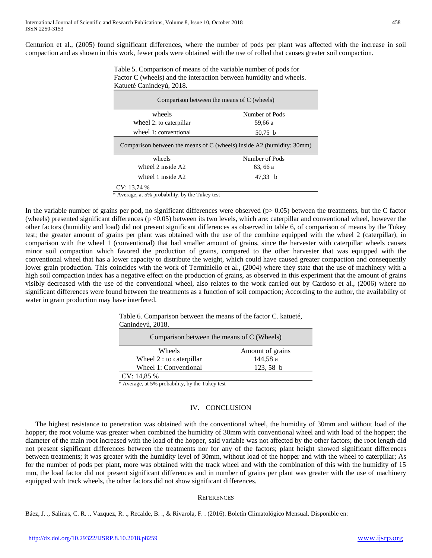Centurion et al., (2005) found significant differences, where the number of pods per plant was affected with the increase in soil compaction and as shown in this work, fewer pods were obtained with the use of rolled that causes greater soil compaction.

 Table 5. Comparison of means of the variable number of pods for Factor C (wheels) and the interaction between humidity and wheels. Katueté Canindeyú, 2018.

|                         | Comparison between the means of C (wheels)                            |
|-------------------------|-----------------------------------------------------------------------|
| wheels                  | Number of Pods                                                        |
| wheel 2: to caterpillar | 59.66 a                                                               |
| wheel 1: conventional   | $50,75$ b                                                             |
|                         | Comparison between the means of C (wheels) inside A2 (humidity: 30mm) |
| wheels                  | Number of Pods                                                        |
| wheel 2 inside A2       | 63, 66 a                                                              |
| wheel 1 inside A2       | 47,33<br>- b                                                          |
| CV: 13.74 %             |                                                                       |

\* Average, at 5% probability, by the Tukey test

In the variable number of grains per pod, no significant differences were observed  $(p > 0.05)$  between the treatments, but the C factor (wheels) presented significant differences ( $p < 0.05$ ) between its two levels, which are: caterpillar and conventional wheel, however the other factors (humidity and load) did not present significant differences as observed in table 6, of comparison of means by the Tukey test; the greater amount of grains per plant was obtained with the use of the combine equipped with the wheel 2 (caterpillar), in comparison with the wheel 1 (conventional) that had smaller amount of grains, since the harvester with caterpillar wheels causes minor soil compaction which favored the production of grains, compared to the other harvester that was equipped with the conventional wheel that has a lower capacity to distribute the weight, which could have caused greater compaction and consequently lower grain production. This coincides with the work of Terminiello et al., (2004) where they state that the use of machinery with a high soil compaction index has a negative effect on the production of grains, as observed in this experiment that the amount of grains visibly decreased with the use of the conventional wheel, also relates to the work carried out by Cardoso et al., (2006) where no significant differences were found between the treatments as a function of soil compaction; According to the author, the availability of water in grain production may have interfered.

| Comparison between the means of C (Wheels) |                  |
|--------------------------------------------|------------------|
| Wheels                                     | Amount of grains |
| Wheel 2 : to caterpillar                   | 144,58 a         |
| Wheel 1: Conventional                      | $123,58$ b       |

Table 6. Comparison between the means of the factor C. katueté,

\* Average, at 5% probability, by the Tukey test

## IV. CONCLUSION

The highest resistance to penetration was obtained with the conventional wheel, the humidity of 30mm and without load of the hopper; the root volume was greater when combined the humidity of 30mm with conventional wheel and with load of the hopper; the diameter of the main root increased with the load of the hopper, said variable was not affected by the other factors; the root length did not present significant differences between the treatments nor for any of the factors; plant height showed significant differences between treatments; it was greater with the humidity level of 30mm, without load of the hopper and with the wheel to caterpillar; As for the number of pods per plant, more was obtained with the track wheel and with the combination of this with the humidity of 15 mm, the load factor did not present significant differences and in number of grains per plant was greater with the use of machinery equipped with track wheels, the other factors did not show significant differences.

### **REFERENCES**

Báez, J. ., Salinas, C. R. ., Vazquez, R. ., Recalde, B. ., & Rivarola, F. . (2016). Boletín Climatológico Mensual. Disponible en: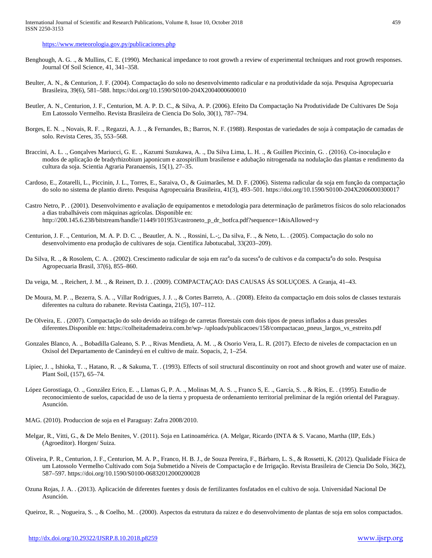<https://www.meteorologia.gov.py/publicaciones.php>

- Benghough, A. G. ., & Mullins, C. E. (1990). Mechanical impedance to root growth a review of experimental techniques and root growth responses. Journal Of Soil Science, 41, 341–358.
- Beulter, A. N., & Centurion, J. F. (2004). Compactação do solo no desenvolvimento radicular e na produtividade da soja. Pesquisa Agropecuaria Brasileira, 39(6), 581–588. https://doi.org/10.1590/S0100-204X2004000600010
- Beutler, A. N., Centurion, J. F., Centurion, M. A. P. D. C., & Silva, A. P. (2006). Efeito Da Compactação Na Produtividade De Cultivares De Soja Em Latossolo Vermelho. Revista Brasileira de Ciencia Do Solo, 30(1), 787–794.
- Borges, E. N. ., Novais, R. F. ., Regazzi, A. J. ., & Fernandes, B.; Barros, N. F. (1988). Respostas de variedades de soja à compatação de camadas de solo. Revista Ceres, 35, 553–568.
- Braccini, A. L. ., Gonçalves Mariucci, G. E. ., Kazumi Suzukawa, A. ., Da Silva Lima, L. H. ., & Guillen Piccinin, G. . (2016). Co-inoculação e modos de aplicação de bradyrhizobium japonicum e azospirillum brasilense e adubação nitrogenada na nodulação das plantas e rendimento da cultura da soja. Scientia Agraria Paranaensis, 15(1), 27–35.
- Cardoso, E., Zotarelli, L., Piccinin, J. L., Torres, E., Saraiva, O., & Guimarães, M. D. F. (2006). Sistema radicular da soja em função da compactação do solo no sistema de plantio direto. Pesquisa Agropecuária Brasileira, 41(3), 493–501. https://doi.org/10.1590/S0100-204X2006000300017
- Castro Netro, P. . (2001). Desenvolvimento e avaliação de equipamentos e metodologia para determinação de parâmetros físicos do solo relacionados a dias trabalháveis com máquinas agrícolas. Disponible en: http://200.145.6.238/bitstream/handle/11449/101953/castroneto\_p\_dr\_botfca.pdf?sequence=1&isAllowed=y
- Centurion, J. F. ., Centurion, M. A. P. D. C. ., Beautler, A. N. ., Rossini, L.-;, Da silva, F. ., & Neto, L. . (2005). Compactação do solo no desenvolvimento ena produção de cultivares de soja. Científica Jabotucabal, 33(203–209).
- Da Silva, R. ., & Rosolem, C. A. . (2002). Crescimento radicular de soja em raz<sup>a</sup>o da sucess<sup>a</sup>o de cultivos e da compacta<sup>a</sup>o do solo. Pesquisa Agropecuaria Brasil, 37(6), 855–860.
- Da veiga, M. ., Reichert, J. M. ., & Reinert, D. J. . (2009). COMPACTAÇAO: DAS CAUSAS ÁS SOLUÇOES. A Granja, 41–43.
- De Moura, M. P. ., Bezerra, S. A. ., Villar Rodrigues, J. J. ., & Cortes Barreto, A. . (2008). Efeito da compactação em dois solos de classes texturais diferentes na cultura do rabanete. Revista Caatinga, 21(5), 107–112.
- De Olveira, E. . (2007). Compactação do solo devido ao tráfego de carretas florestais com dois tipos de pneus inflados a duas pressões diferentes.Disponible en: https://colheitademadeira.com.br/wp- /uploads/publicacoes/158/compactacao\_pneus\_largos\_vs\_estreito.pdf
- Gonzales Blanco, A. ., Bobadilla Galeano, S. P. ., Rivas Mendieta, A. M. ., & Osorio Vera, L. R. (2017). Efecto de niveles de compactacion en un Oxisol del Departamento de Canindeyú en el cultivo de maíz. Sopacis, 2, 1–254.
- Lipiec, J. ., Ishioka, T. ., Hatano, R. ., & Sakuma, T. . (1993). Effects of soil structural discontinuity on root and shoot growth and water use of maize. Plant Soil, (157), 65–74.
- López Gorostiaga, O. ., González Erico, E. ., Llamas G, P. A. ., Molinas M, A. S. ., Franco S, E. ., García, S. ., & Ríos, E. . (1995). Estudio de reconocimiento de suelos, capacidad de uso de la tierra y propuesta de ordenamiento territorial preliminar de la región oriental del Paraguay. Asunción.
- MAG. (2010). Produccion de soja en el Paraguay: Zafra 2008/2010.
- Melgar, R., Vitti, G., & De Melo Benites, V. (2011). Soja en Latinoamérica. (A. Melgar, Ricardo (INTA & S. Vacano, Martha (IIP, Eds.) (Agroeditor). Horgen/ Suiza.
- Oliveira, P. R., Centurion, J. F., Centurion, M. A. P., Franco, H. B. J., de Souza Pereira, F., Bárbaro, L. S., & Rossetti, K. (2012). Qualidade Física de um Latossolo Vermelho Cultivado com Soja Submetido a Níveis de Compactação e de Irrigação. Revista Brasileira de Ciencia Do Solo, 36(2), 587–597. https://doi.org/10.1590/S0100-06832012000200028
- Ozuna Rojas, J. A. . (2013). Aplicación de diferentes fuentes y dosis de fertilizantes fosfatados en el cultivo de soja. Universidad Nacional De Asunción.

Queiroz, R. ., Nogueira, S. ., & Coelho, M. . (2000). Aspectos da estrutura da raizez e do desenvolvimento de plantas de soja em solos compactados.